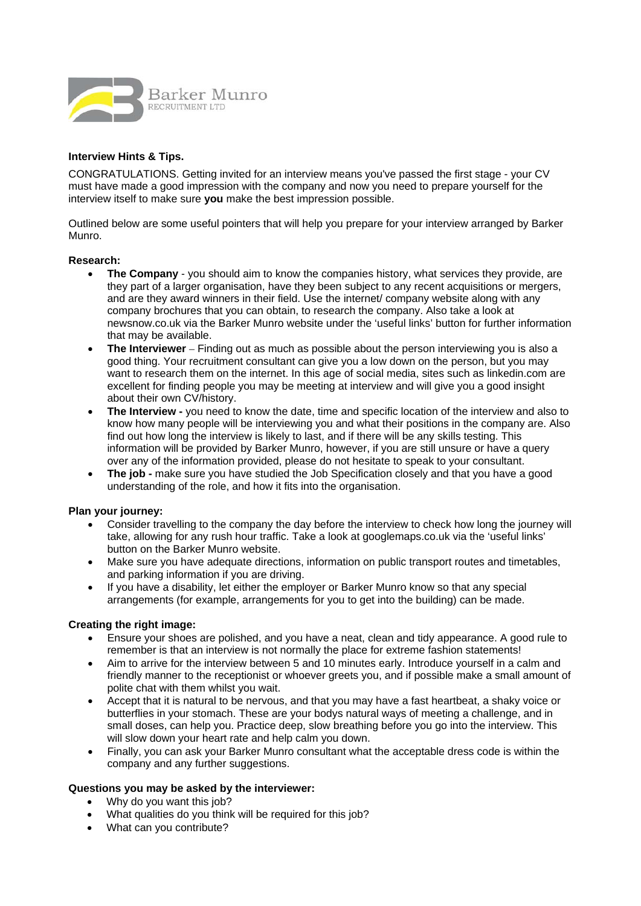

# **Interview Hints & Tips.**

CONGRATULATIONS. Getting invited for an interview means you've passed the first stage - your CV must have made a good impression with the company and now you need to prepare yourself for the interview itself to make sure **you** make the best impression possible.

Outlined below are some useful pointers that will help you prepare for your interview arranged by Barker Munro.

#### **Research:**

- **The Company**  you should aim to know the companies history, what services they provide, are they part of a larger organisation, have they been subject to any recent acquisitions or mergers, and are they award winners in their field. Use the internet/ company website along with any company brochures that you can obtain, to research the company. Also take a look at newsnow.co.uk via the Barker Munro website under the 'useful links' button for further information that may be available.
- **The Interviewer**  Finding out as much as possible about the person interviewing you is also a good thing. Your recruitment consultant can give you a low down on the person, but you may want to research them on the internet. In this age of social media, sites such as linkedin.com are excellent for finding people you may be meeting at interview and will give you a good insight about their own CV/history.
- **The Interview** you need to know the date, time and specific location of the interview and also to know how many people will be interviewing you and what their positions in the company are. Also find out how long the interview is likely to last, and if there will be any skills testing. This information will be provided by Barker Munro, however, if you are still unsure or have a query over any of the information provided, please do not hesitate to speak to your consultant.
- **The job** make sure you have studied the Job Specification closely and that you have a good understanding of the role, and how it fits into the organisation.

## **Plan your journey:**

- Consider travelling to the company the day before the interview to check how long the journey will take, allowing for any rush hour traffic. Take a look at googlemaps.co.uk via the 'useful links' button on the Barker Munro website.
- Make sure you have adequate directions, information on public transport routes and timetables, and parking information if you are driving.
- If you have a disability, let either the employer or Barker Munro know so that any special arrangements (for example, arrangements for you to get into the building) can be made.

## **Creating the right image:**

- Ensure your shoes are polished, and you have a neat, clean and tidy appearance. A good rule to remember is that an interview is not normally the place for extreme fashion statements!
- Aim to arrive for the interview between 5 and 10 minutes early. Introduce yourself in a calm and friendly manner to the receptionist or whoever greets you, and if possible make a small amount of polite chat with them whilst you wait.
- Accept that it is natural to be nervous, and that you may have a fast heartbeat, a shaky voice or butterflies in your stomach. These are your bodys natural ways of meeting a challenge, and in small doses, can help you. Practice deep, slow breathing before you go into the interview. This will slow down your heart rate and help calm you down.
- Finally, you can ask your Barker Munro consultant what the acceptable dress code is within the company and any further suggestions.

#### **Questions you may be asked by the interviewer:**

- Why do you want this job?
- What qualities do you think will be required for this job?
- What can you contribute?